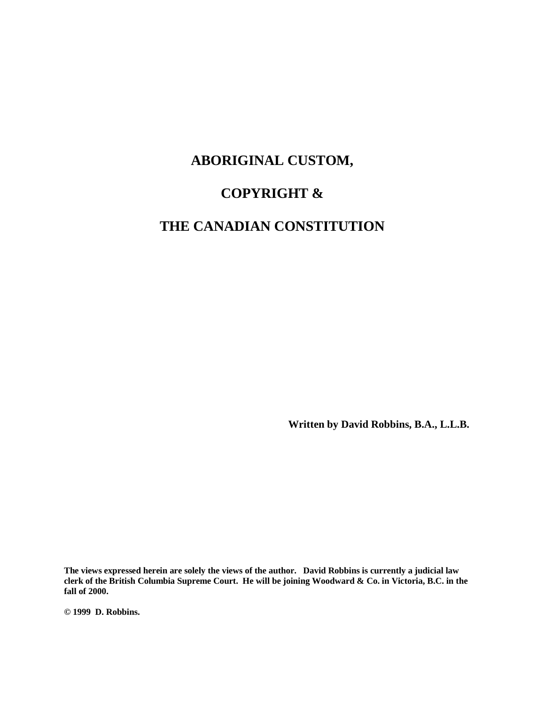# **ABORIGINAL CUSTOM,**

# **COPYRIGHT &**

# **THE CANADIAN CONSTITUTION**

 **Written by David Robbins, B.A., L.L.B.** 

**The views expressed herein are solely the views of the author. David Robbins is currently a judicial law clerk of the British Columbia Supreme Court. He will be joining Woodward & Co. in Victoria, B.C. in the fall of 2000.** 

**© 1999 D. Robbins.**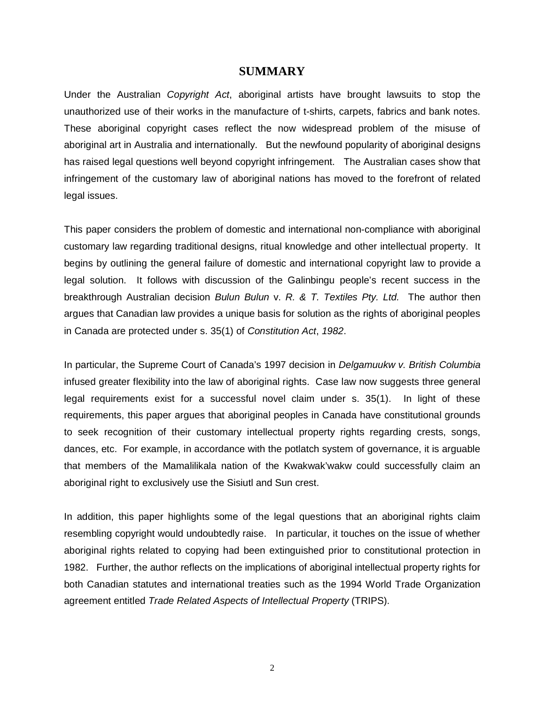### **SUMMARY**

Under the Australian *Copyright Act*, aboriginal artists have brought lawsuits to stop the unauthorized use of their works in the manufacture of t-shirts, carpets, fabrics and bank notes. These aboriginal copyright cases reflect the now widespread problem of the misuse of aboriginal art in Australia and internationally. But the newfound popularity of aboriginal designs has raised legal questions well beyond copyright infringement. The Australian cases show that infringement of the customary law of aboriginal nations has moved to the forefront of related legal issues.

This paper considers the problem of domestic and international non-compliance with aboriginal customary law regarding traditional designs, ritual knowledge and other intellectual property. It begins by outlining the general failure of domestic and international copyright law to provide a legal solution. It follows with discussion of the Galinbingu people's recent success in the breakthrough Australian decision *Bulun Bulun* v. *R. & T. Textiles Pty. Ltd.* The author then argues that Canadian law provides a unique basis for solution as the rights of aboriginal peoples in Canada are protected under s. 35(1) of *Constitution Act*, *1982*.

In particular, the Supreme Court of Canada's 1997 decision in *Delgamuukw v. British Columbia* infused greater flexibility into the law of aboriginal rights. Case law now suggests three general legal requirements exist for a successful novel claim under s. 35(1). In light of these requirements, this paper argues that aboriginal peoples in Canada have constitutional grounds to seek recognition of their customary intellectual property rights regarding crests, songs, dances, etc. For example, in accordance with the potlatch system of governance, it is arguable that members of the Mamalilikala nation of the Kwakwak'wakw could successfully claim an aboriginal right to exclusively use the Sisiutl and Sun crest.

In addition, this paper highlights some of the legal questions that an aboriginal rights claim resembling copyright would undoubtedly raise. In particular, it touches on the issue of whether aboriginal rights related to copying had been extinguished prior to constitutional protection in 1982. Further, the author reflects on the implications of aboriginal intellectual property rights for both Canadian statutes and international treaties such as the 1994 World Trade Organization agreement entitled *Trade Related Aspects of Intellectual Property* (TRIPS).

2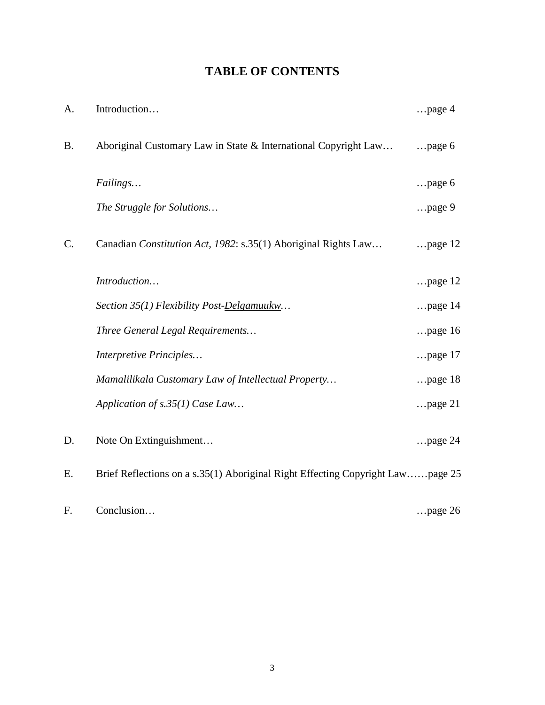|  | <b>TABLE OF CONTENTS</b> |
|--|--------------------------|
|--|--------------------------|

| A.        | Introduction                                                                   | $\ldots$ page 4  |
|-----------|--------------------------------------------------------------------------------|------------------|
| <b>B.</b> | Aboriginal Customary Law in State & International Copyright Law                | $\ldots$ page 6  |
|           | Failings                                                                       | $\ldots$ page 6  |
|           | The Struggle for Solutions                                                     | page 9           |
| C.        | Canadian Constitution Act, 1982: s.35(1) Aboriginal Rights Law                 | $\ldots$ page 12 |
|           | Introduction                                                                   | page 12          |
|           | Section 35(1) Flexibility Post-Delgamuukw                                      | $\ldots$ page 14 |
|           | Three General Legal Requirements                                               | $\ldots$ page 16 |
|           | Interpretive Principles                                                        | $\ldots$ page 17 |
|           | Mamalilikala Customary Law of Intellectual Property                            | page 18          |
|           | Application of s.35(1) Case Law                                                | $\ldots$ page 21 |
| D.        | Note On Extinguishment                                                         | $\ldots$ page 24 |
| E.        | Brief Reflections on a s.35(1) Aboriginal Right Effecting Copyright Lawpage 25 |                  |
| F.        | Conclusion                                                                     | page 26          |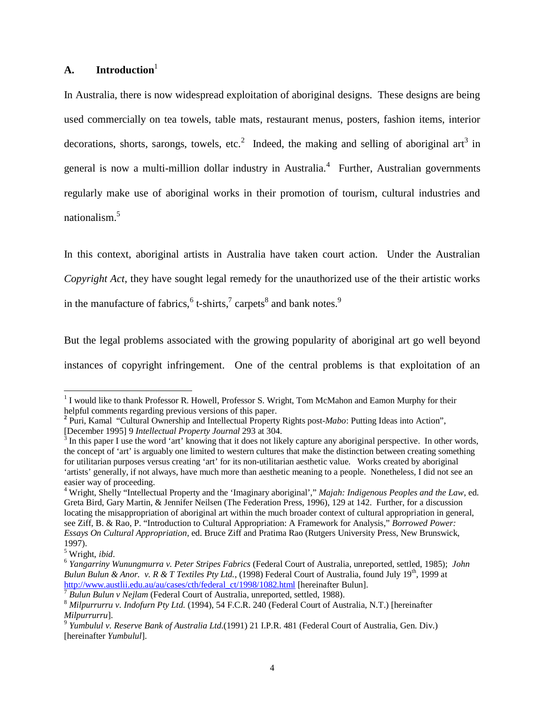## A. Introduction<sup>1</sup>

In Australia, there is now widespread exploitation of aboriginal designs. These designs are being used commercially on tea towels, table mats, restaurant menus, posters, fashion items, interior decorations, shorts, sarongs, towels, etc.<sup>2</sup> Indeed, the making and selling of aboriginal art<sup>3</sup> in general is now a multi-million dollar industry in Australia.<sup>4</sup> Further, Australian governments regularly make use of aboriginal works in their promotion of tourism, cultural industries and nationalism.<sup>5</sup>

In this context, aboriginal artists in Australia have taken court action. Under the Australian *Copyright Act*, they have sought legal remedy for the unauthorized use of the their artistic works in the manufacture of fabrics,  $6$  t-shirts,  $7$  carpets  $8$  and bank notes.<sup>9</sup>

But the legal problems associated with the growing popularity of aboriginal art go well beyond instances of copyright infringement. One of the central problems is that exploitation of an

<sup>&</sup>lt;sup>1</sup> I would like to thank Professor R. Howell, Professor S. Wright, Tom McMahon and Eamon Murphy for their helpful comments regarding previous versions of this paper.

<sup>&</sup>lt;sup>2</sup> Puri, Kamal "Cultural Ownership and Intellectual Property Rights post-Mabo: Putting Ideas into Action", [December 1995] 9 *Intellectual Property Journal* 293 at 304.

 $3$  In this paper I use the word 'art' knowing that it does not likely capture any aboriginal perspective. In other words, the concept of 'art' is arguably one limited to western cultures that make the distinction between creating something for utilitarian purposes versus creating 'art' for its non-utilitarian aesthetic value. Works created by aboriginal 'artists' generally, if not always, have much more than aesthetic meaning to a people. Nonetheless, I did not see an easier way of proceeding.

<sup>4</sup> Wright, Shelly "Intellectual Property and the 'Imaginary aboriginal'," *Majah: Indigenous Peoples and the Law*, ed. Greta Bird, Gary Martin, & Jennifer Neilsen (The Federation Press, 1996), 129 at 142. Further, for a discussion locating the misappropriation of aboriginal art within the much broader context of cultural appropriation in general, see Ziff, B. & Rao, P. "Introduction to Cultural Appropriation: A Framework for Analysis," *Borrowed Power: Essays On Cultural Appropriation*, ed. Bruce Ziff and Pratima Rao (Rutgers University Press, New Brunswick, 1997).

<sup>5</sup> Wright, *ibid*.

<sup>6</sup> *Yangarriny Wunungmurra v. Peter Stripes Fabrics* (Federal Court of Australia, unreported, settled, 1985); *John Bulun Bulun & Anor. v. R & T Textiles Pty Ltd.*, (1998) Federal Court of Australia, found July 19<sup>th</sup>, 1999 at http://www.austlii.edu.au/au/cases/cth/federal\_ct/1998/1082.html [hereinafter Bulun].

<sup>7</sup> *Bulun Bulun v Nejlam* (Federal Court of Australia, unreported, settled, 1988).

<sup>8</sup> *Milpurrurru v. Indofurn Pty Ltd.* (1994), 54 F.C.R. 240 (Federal Court of Australia, N.T.) [hereinafter *Milpurrurru*].

<sup>9</sup> *Yumbulul v. Reserve Bank of Australia Ltd.*(1991) 21 I.P.R. 481 (Federal Court of Australia, Gen. Div.) [hereinafter *Yumbulul*].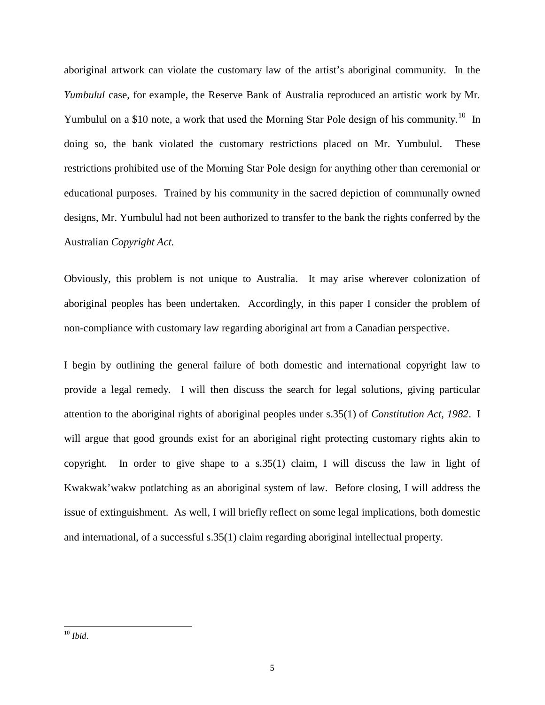aboriginal artwork can violate the customary law of the artist's aboriginal community. In the *Yumbulul* case, for example, the Reserve Bank of Australia reproduced an artistic work by Mr. Yumbulul on a \$10 note, a work that used the Morning Star Pole design of his community.<sup>10</sup> In doing so, the bank violated the customary restrictions placed on Mr. Yumbulul. These restrictions prohibited use of the Morning Star Pole design for anything other than ceremonial or educational purposes. Trained by his community in the sacred depiction of communally owned designs, Mr. Yumbulul had not been authorized to transfer to the bank the rights conferred by the Australian *Copyright Act*.

Obviously, this problem is not unique to Australia. It may arise wherever colonization of aboriginal peoples has been undertaken. Accordingly, in this paper I consider the problem of non-compliance with customary law regarding aboriginal art from a Canadian perspective.

I begin by outlining the general failure of both domestic and international copyright law to provide a legal remedy. I will then discuss the search for legal solutions, giving particular attention to the aboriginal rights of aboriginal peoples under s.35(1) of *Constitution Act, 1982*. I will argue that good grounds exist for an aboriginal right protecting customary rights akin to copyright. In order to give shape to a  $s.35(1)$  claim, I will discuss the law in light of Kwakwak'wakw potlatching as an aboriginal system of law. Before closing, I will address the issue of extinguishment. As well, I will briefly reflect on some legal implications, both domestic and international, of a successful s.35(1) claim regarding aboriginal intellectual property.

<sup>10</sup> *Ibid*.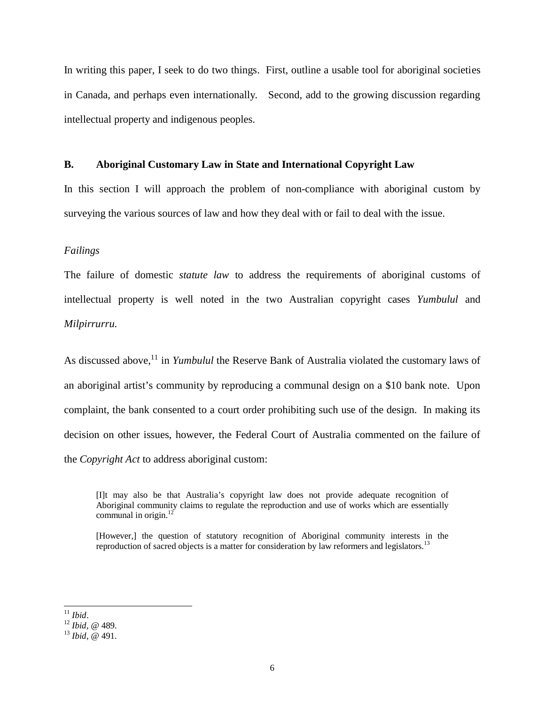In writing this paper, I seek to do two things. First, outline a usable tool for aboriginal societies in Canada, and perhaps even internationally. Second, add to the growing discussion regarding intellectual property and indigenous peoples.

#### **B. Aboriginal Customary Law in State and International Copyright Law**

In this section I will approach the problem of non-compliance with aboriginal custom by surveying the various sources of law and how they deal with or fail to deal with the issue.

#### *Failings*

The failure of domestic *statute law* to address the requirements of aboriginal customs of intellectual property is well noted in the two Australian copyright cases *Yumbulul* and *Milpirrurru*.

As discussed above,<sup>11</sup> in *Yumbulul* the Reserve Bank of Australia violated the customary laws of an aboriginal artist's community by reproducing a communal design on a \$10 bank note. Upon complaint, the bank consented to a court order prohibiting such use of the design. In making its decision on other issues, however, the Federal Court of Australia commented on the failure of the *Copyright Act* to address aboriginal custom:

[I]t may also be that Australia's copyright law does not provide adequate recognition of Aboriginal community claims to regulate the reproduction and use of works which are essentially communal in origin. $12$ 

[However,] the question of statutory recognition of Aboriginal community interests in the reproduction of sacred objects is a matter for consideration by law reformers and legislators.<sup>13</sup>

<sup>11</sup> *Ibid*.

<sup>12</sup> *Ibid*, @ 489.

<sup>13</sup> *Ibid*, @ 491.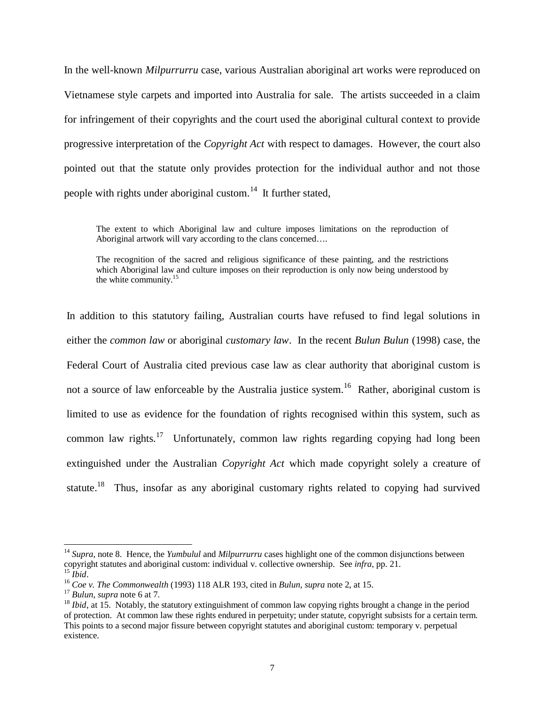In the well-known *Milpurrurru* case, various Australian aboriginal art works were reproduced on Vietnamese style carpets and imported into Australia for sale. The artists succeeded in a claim for infringement of their copyrights and the court used the aboriginal cultural context to provide progressive interpretation of the *Copyright Act* with respect to damages. However, the court also pointed out that the statute only provides protection for the individual author and not those people with rights under aboriginal custom.<sup>14</sup> It further stated,

The extent to which Aboriginal law and culture imposes limitations on the reproduction of Aboriginal artwork will vary according to the clans concerned….

The recognition of the sacred and religious significance of these painting, and the restrictions which Aboriginal law and culture imposes on their reproduction is only now being understood by the white community.<sup>15</sup>

In addition to this statutory failing, Australian courts have refused to find legal solutions in either the *common law* or aboriginal *customary law*. In the recent *Bulun Bulun* (1998) case, the Federal Court of Australia cited previous case law as clear authority that aboriginal custom is not a source of law enforceable by the Australia justice system.<sup>16</sup> Rather, aboriginal custom is limited to use as evidence for the foundation of rights recognised within this system, such as common law rights.<sup>17</sup> Unfortunately, common law rights regarding copying had long been extinguished under the Australian *Copyright Act* which made copyright solely a creature of statute.<sup>18</sup> Thus, insofar as any aboriginal customary rights related to copying had survived

<sup>14</sup> *Supra*, note 8. Hence, the *Yumbulul* and *Milpurrurru* cases highlight one of the common disjunctions between copyright statutes and aboriginal custom: individual v. collective ownership. See *infra*, pp. 21.

<sup>15</sup> *Ibid*.

<sup>16</sup> *Coe v. The Commonwealth* (1993) 118 ALR 193, cited in *Bulun*, *supra* note 2, at 15.

<sup>17</sup> *Bulun*, *supra* note 6 at 7.

<sup>&</sup>lt;sup>18</sup> *Ibid*, at 15. Notably, the statutory extinguishment of common law copying rights brought a change in the period of protection. At common law these rights endured in perpetuity; under statute, copyright subsists for a certain term. This points to a second major fissure between copyright statutes and aboriginal custom: temporary v. perpetual existence.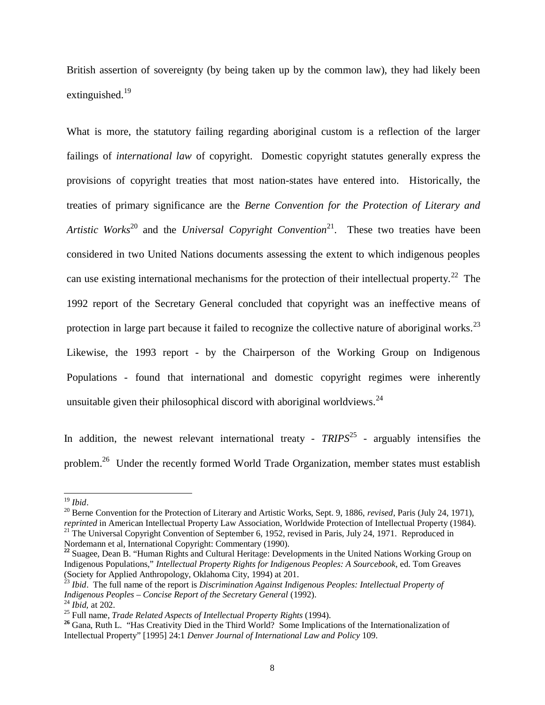British assertion of sovereignty (by being taken up by the common law), they had likely been extinguished. $19$ 

What is more, the statutory failing regarding aboriginal custom is a reflection of the larger failings of *international law* of copyright. Domestic copyright statutes generally express the provisions of copyright treaties that most nation-states have entered into. Historically, the treaties of primary significance are the *Berne Convention for the Protection of Literary and Artistic Works*<sup>20</sup> and the *Universal Copyright Convention*<sup>21</sup>. These two treaties have been considered in two United Nations documents assessing the extent to which indigenous peoples can use existing international mechanisms for the protection of their intellectual property.<sup>22</sup> The 1992 report of the Secretary General concluded that copyright was an ineffective means of protection in large part because it failed to recognize the collective nature of aboriginal works.<sup>23</sup> Likewise, the 1993 report - by the Chairperson of the Working Group on Indigenous Populations - found that international and domestic copyright regimes were inherently unsuitable given their philosophical discord with aboriginal worldviews. $^{24}$ 

In addition, the newest relevant international treaty - *TRIPS*<sup>25</sup> - arguably intensifies the problem.<sup>26</sup> Under the recently formed World Trade Organization, member states must establish

<sup>19</sup> *Ibid*.

<sup>20</sup> Berne Convention for the Protection of Literary and Artistic Works, Sept. 9, 1886, *revised*, Paris (July 24, 1971), *reprinted* in American Intellectual Property Law Association, Worldwide Protection of Intellectual Property (1984). <sup>21</sup> The Universal Copyright Convention of September 6, 1952, revised in Paris, July 24, 1971. Reproduced in Nordemann et al, International Copyright: Commentary (1990).

<sup>&</sup>lt;sup>22</sup> Suagee, Dean B. "Human Rights and Cultural Heritage: Developments in the United Nations Working Group on Indigenous Populations," *Intellectual Property Rights for Indigenous Peoples: A Sourcebook*, ed. Tom Greaves (Society for Applied Anthropology, Oklahoma City, 1994) at 201.

<sup>23</sup> *Ibid*. The full name of the report is *Discrimination Against Indigenous Peoples: Intellectual Property of Indigenous Peoples – Concise Report of the Secretary General* (1992).

<sup>24</sup> *Ibid,* at 202.

<sup>25</sup> Full name, *Trade Related Aspects of Intellectual Property Rights* (1994).

<sup>&</sup>lt;sup>26</sup> Gana, Ruth L. "Has Creativity Died in the Third World? Some Implications of the Internationalization of Intellectual Property" [1995] 24:1 *Denver Journal of International Law and Policy* 109.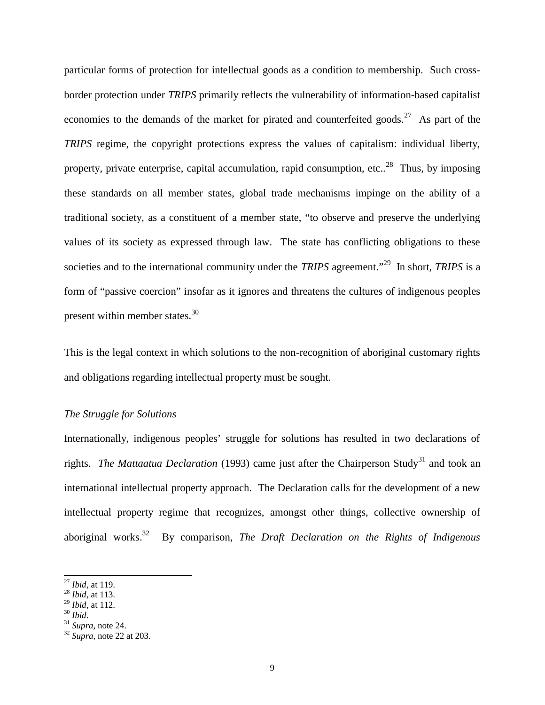particular forms of protection for intellectual goods as a condition to membership. Such crossborder protection under *TRIPS* primarily reflects the vulnerability of information-based capitalist economies to the demands of the market for pirated and counterfeited goods.<sup>27</sup> As part of the *TRIPS* regime, the copyright protections express the values of capitalism: individual liberty, property, private enterprise, capital accumulation, rapid consumption, etc..<sup>28</sup> Thus, by imposing these standards on all member states, global trade mechanisms impinge on the ability of a traditional society, as a constituent of a member state, "to observe and preserve the underlying values of its society as expressed through law. The state has conflicting obligations to these societies and to the international community under the *TRIPS* agreement."<sup>29</sup> In short, *TRIPS* is a form of "passive coercion" insofar as it ignores and threatens the cultures of indigenous peoples present within member states.<sup>30</sup>

This is the legal context in which solutions to the non-recognition of aboriginal customary rights and obligations regarding intellectual property must be sought.

### *The Struggle for Solutions*

Internationally, indigenous peoples' struggle for solutions has resulted in two declarations of rights. *The Mattaatua Declaration* (1993) came just after the Chairperson Study<sup>31</sup> and took an international intellectual property approach. The Declaration calls for the development of a new intellectual property regime that recognizes, amongst other things, collective ownership of aboriginal works.<sup>32</sup> By comparison, *The Draft Declaration on the Rights of Indigenous* 

<sup>27</sup> *Ibid*, at 119.

<sup>28</sup> *Ibid*, at 113.

<sup>29</sup> *Ibid*, at 112.

<sup>30</sup> *Ibid*.

<sup>31</sup> *Supra*, note 24.

<sup>32</sup> *Supra*, note 22 at 203.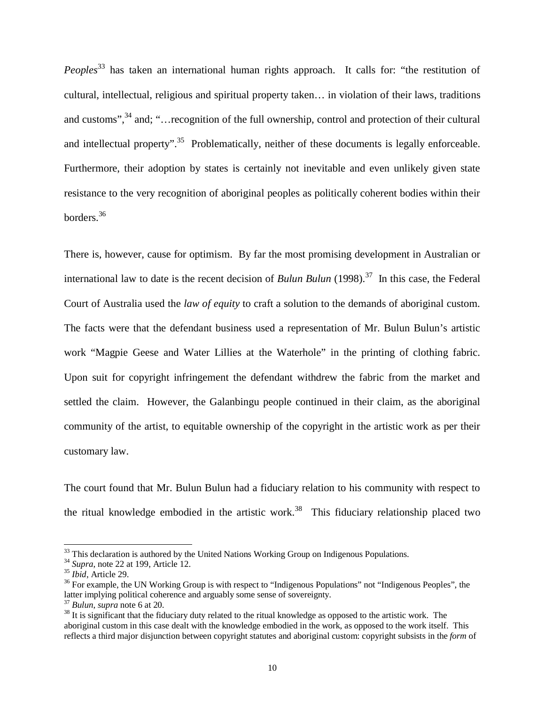*Peoples*<sup>33</sup> has taken an international human rights approach. It calls for: "the restitution of cultural, intellectual, religious and spiritual property taken… in violation of their laws, traditions and customs",<sup>34</sup> and; "…recognition of the full ownership, control and protection of their cultural and intellectual property".<sup>35</sup> Problematically, neither of these documents is legally enforceable. Furthermore, their adoption by states is certainly not inevitable and even unlikely given state resistance to the very recognition of aboriginal peoples as politically coherent bodies within their borders.<sup>36</sup>

There is, however, cause for optimism. By far the most promising development in Australian or international law to date is the recent decision of *Bulun Bulun* (1998).<sup>37</sup> In this case, the Federal Court of Australia used the *law of equity* to craft a solution to the demands of aboriginal custom. The facts were that the defendant business used a representation of Mr. Bulun Bulun's artistic work "Magpie Geese and Water Lillies at the Waterhole" in the printing of clothing fabric. Upon suit for copyright infringement the defendant withdrew the fabric from the market and settled the claim. However, the Galanbingu people continued in their claim, as the aboriginal community of the artist, to equitable ownership of the copyright in the artistic work as per their customary law.

The court found that Mr. Bulun Bulun had a fiduciary relation to his community with respect to the ritual knowledge embodied in the artistic work.<sup>38</sup> This fiduciary relationship placed two

<sup>&</sup>lt;sup>33</sup> This declaration is authored by the United Nations Working Group on Indigenous Populations.

<sup>34</sup> *Supra*, note 22 at 199, Article 12.

<sup>35</sup> *Ibid*, Article 29.

<sup>&</sup>lt;sup>36</sup> For example, the UN Working Group is with respect to "Indigenous Populations" not "Indigenous Peoples", the latter implying political coherence and arguably some sense of sovereignty.

<sup>37</sup> *Bulun*, *supra* note 6 at 20.

 $38$  It is significant that the fiduciary duty related to the ritual knowledge as opposed to the artistic work. The aboriginal custom in this case dealt with the knowledge embodied in the work, as opposed to the work itself. This reflects a third major disjunction between copyright statutes and aboriginal custom: copyright subsists in the *form* of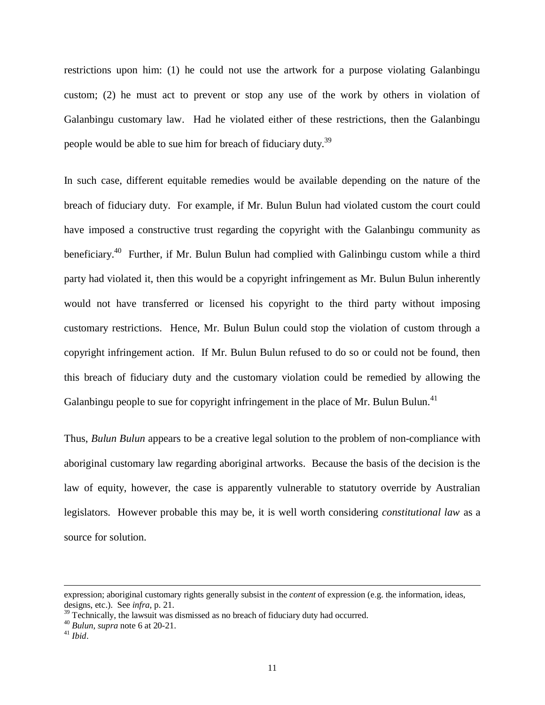restrictions upon him: (1) he could not use the artwork for a purpose violating Galanbingu custom; (2) he must act to prevent or stop any use of the work by others in violation of Galanbingu customary law. Had he violated either of these restrictions, then the Galanbingu people would be able to sue him for breach of fiduciary duty.<sup>39</sup>

In such case, different equitable remedies would be available depending on the nature of the breach of fiduciary duty. For example, if Mr. Bulun Bulun had violated custom the court could have imposed a constructive trust regarding the copyright with the Galanbingu community as beneficiary.<sup>40</sup> Further, if Mr. Bulun Bulun had complied with Galinbingu custom while a third party had violated it, then this would be a copyright infringement as Mr. Bulun Bulun inherently would not have transferred or licensed his copyright to the third party without imposing customary restrictions. Hence, Mr. Bulun Bulun could stop the violation of custom through a copyright infringement action. If Mr. Bulun Bulun refused to do so or could not be found, then this breach of fiduciary duty and the customary violation could be remedied by allowing the Galanbingu people to sue for copyright infringement in the place of Mr. Bulun Bulun.<sup>41</sup>

Thus, *Bulun Bulun* appears to be a creative legal solution to the problem of non-compliance with aboriginal customary law regarding aboriginal artworks. Because the basis of the decision is the law of equity, however, the case is apparently vulnerable to statutory override by Australian legislators. However probable this may be, it is well worth considering *constitutional law* as a source for solution.

expression; aboriginal customary rights generally subsist in the *content* of expression (e.g. the information, ideas, designs, etc.). See *infra*, p. 21.

 $39$  Technically, the lawsuit was dismissed as no breach of fiduciary duty had occurred.

<sup>40</sup> *Bulun*, *supra* note 6 at 20-21.

<sup>41</sup> *Ibid*.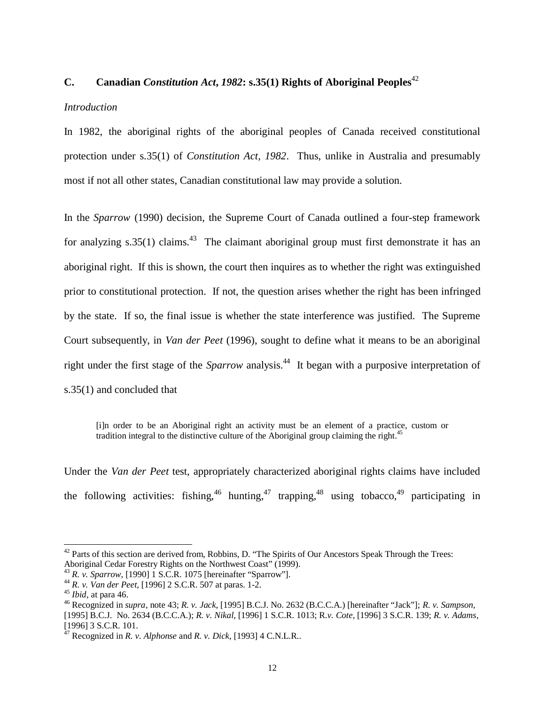## **C. Canadian** *Constitution Act***,** *1982***: s.35(1) Rights of Aboriginal Peoples**<sup>42</sup>

#### *Introduction*

In 1982, the aboriginal rights of the aboriginal peoples of Canada received constitutional protection under s.35(1) of *Constitution Act, 1982*. Thus, unlike in Australia and presumably most if not all other states, Canadian constitutional law may provide a solution.

In the *Sparrow* (1990) decision, the Supreme Court of Canada outlined a four-step framework for analyzing s.35(1) claims.<sup>43</sup> The claimant aboriginal group must first demonstrate it has an aboriginal right. If this is shown, the court then inquires as to whether the right was extinguished prior to constitutional protection. If not, the question arises whether the right has been infringed by the state. If so, the final issue is whether the state interference was justified. The Supreme Court subsequently, in *Van der Peet* (1996), sought to define what it means to be an aboriginal right under the first stage of the *Sparrow* analysis.<sup>44</sup> It began with a purposive interpretation of s.35(1) and concluded that

[i]n order to be an Aboriginal right an activity must be an element of a practice, custom or tradition integral to the distinctive culture of the Aboriginal group claiming the right.<sup>45</sup>

Under the *Van der Peet* test, appropriately characterized aboriginal rights claims have included the following activities: fishing,  $46$  hunting,  $47$  trapping,  $48$  using tobacco,  $49$  participating in

 $42$  Parts of this section are derived from, Robbins, D. "The Spirits of Our Ancestors Speak Through the Trees: Aboriginal Cedar Forestry Rights on the Northwest Coast" (1999).

<sup>43</sup> *R. v. Sparrow*, [1990] 1 S.C.R. 1075 [hereinafter "Sparrow"].

<sup>44</sup> *R. v. Van der Peet*, [1996] 2 S.C.R. 507 at paras. 1-2.

<sup>45</sup> *Ibid*, at para 46.

<sup>46</sup> Recognized in *supra*, note 43; *R. v. Jack*, [1995] B.C.J. No. 2632 (B.C.C.A.) [hereinafter "Jack"]; *R. v. Sampson,*  [1995] B.C.J. No. 2634 (B.C.C.A.); *R. v. Nikal*, [1996] 1 S.C.R. 1013; R*.v. Cote,* [1996] 3 S.C.R. 139; *R. v. Adams*, [1996] 3 S.C.R. 101.

<sup>&</sup>lt;sup>47</sup> Recognized in R. v. Alphonse and R. v. Dick, [1993] 4 C.N.L.R..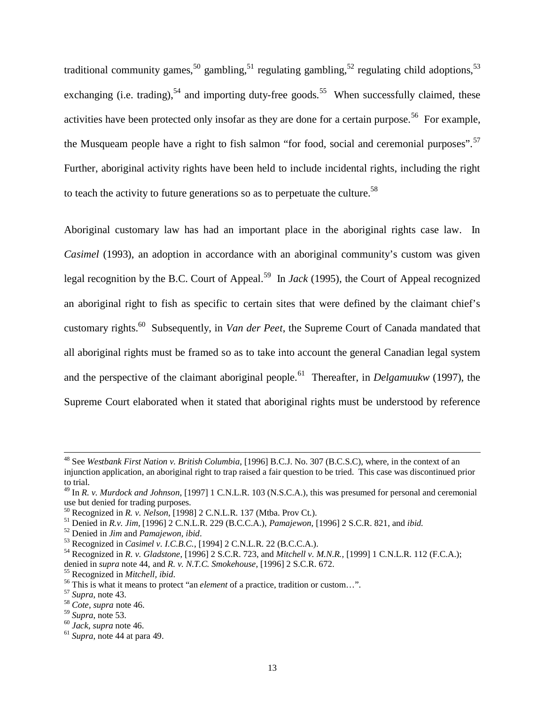traditional community games,<sup>50</sup> gambling,<sup>51</sup> regulating gambling,<sup>52</sup> regulating child adoptions,<sup>53</sup> exchanging (i.e. trading),<sup>54</sup> and importing duty-free goods.<sup>55</sup> When successfully claimed, these activities have been protected only insofar as they are done for a certain purpose.<sup>56</sup> For example, the Musqueam people have a right to fish salmon "for food, social and ceremonial purposes".<sup>57</sup> Further, aboriginal activity rights have been held to include incidental rights, including the right to teach the activity to future generations so as to perpetuate the culture.<sup>58</sup>

Aboriginal customary law has had an important place in the aboriginal rights case law. In *Casimel* (1993), an adoption in accordance with an aboriginal community's custom was given legal recognition by the B.C. Court of Appeal.<sup>59</sup> In *Jack* (1995), the Court of Appeal recognized an aboriginal right to fish as specific to certain sites that were defined by the claimant chief's customary rights.<sup>60</sup> Subsequently, in *Van der Peet*, the Supreme Court of Canada mandated that all aboriginal rights must be framed so as to take into account the general Canadian legal system and the perspective of the claimant aboriginal people.<sup>61</sup> Thereafter, in *Delgamuukw* (1997), the Supreme Court elaborated when it stated that aboriginal rights must be understood by reference

<sup>48</sup> See *Westbank First Nation v. British Columbia*, [1996] B.C.J. No. 307 (B.C.S.C), where, in the context of an injunction application, an aboriginal right to trap raised a fair question to be tried. This case was discontinued prior to trial.

<sup>49</sup> In *R. v. Murdock and Johnson*, [1997] 1 C.N.L.R. 103 (N.S.C.A.), this was presumed for personal and ceremonial use but denied for trading purposes.

<sup>50</sup> Recognized in *R. v. Nelson*, [1998] 2 C.N.L.R. 137 (Mtba. Prov Ct.).

<sup>51</sup> Denied in *R.v. Jim,* [1996] 2 C.N.L.R. 229 (B.C.C.A.), *Pamajewon*, [1996] 2 S.C.R. 821, and *ibid.*

<sup>52</sup> Denied in *Jim* and *Pamajewon, ibid*.

<sup>53</sup> Recognized in *Casimel v. I.C.B.C.*, [1994] 2 C.N.L.R. 22 (B.C.C.A.).

<sup>54</sup> Recognized in *R. v. Gladstone*, [1996] 2 S.C.R. 723, and *Mitchell v. M.N.R.,* [1999] 1 C.N.L.R. 112 (F.C.A.); denied in *supra* note 44, and *R. v. N.T.C. Smokehouse*, [1996] 2 S.C.R. 672.

<sup>55</sup> Recognized in *Mitchell, ibid*.

<sup>56</sup> This is what it means to protect "an *element* of a practice, tradition or custom…".

<sup>57</sup> *Supra*, note 43.

<sup>58</sup> *Cote, supra* note 46.

<sup>59</sup> *Supra*, note 53.

<sup>60</sup> *Jack*, *supra* note 46.

<sup>61</sup> *Supra*, note 44 at para 49.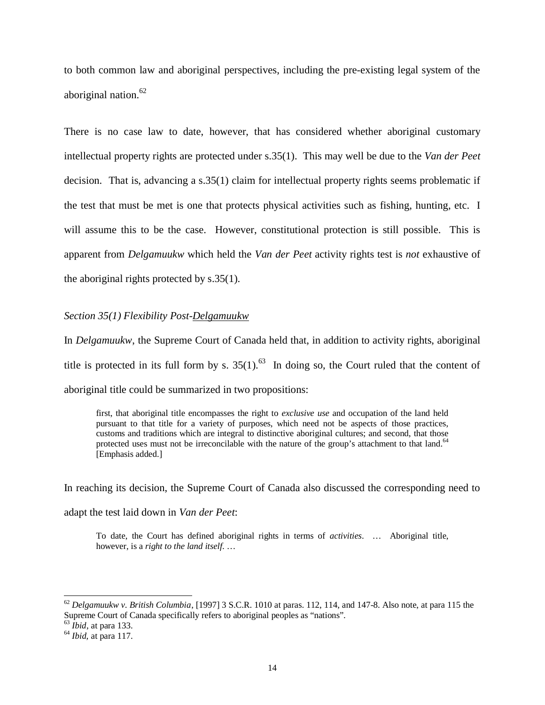to both common law and aboriginal perspectives, including the pre-existing legal system of the aboriginal nation.<sup>62</sup>

There is no case law to date, however, that has considered whether aboriginal customary intellectual property rights are protected under s.35(1). This may well be due to the *Van der Peet* decision. That is, advancing a s.35(1) claim for intellectual property rights seems problematic if the test that must be met is one that protects physical activities such as fishing, hunting, etc. I will assume this to be the case. However, constitutional protection is still possible. This is apparent from *Delgamuukw* which held the *Van der Peet* activity rights test is *not* exhaustive of the aboriginal rights protected by s.35(1).

## *Section 35(1) Flexibility Post-Delgamuukw*

In *Delgamuukw*, the Supreme Court of Canada held that, in addition to activity rights, aboriginal title is protected in its full form by s.  $35(1)$ .<sup>63</sup> In doing so, the Court ruled that the content of aboriginal title could be summarized in two propositions:

first, that aboriginal title encompasses the right to *exclusive use* and occupation of the land held pursuant to that title for a variety of purposes, which need not be aspects of those practices, customs and traditions which are integral to distinctive aboriginal cultures; and second, that those protected uses must not be irreconcilable with the nature of the group's attachment to that land.<sup>64</sup> [Emphasis added.]

In reaching its decision, the Supreme Court of Canada also discussed the corresponding need to

adapt the test laid down in *Van der Peet*:

To date, the Court has defined aboriginal rights in terms of *activities*. … Aboriginal title, however, is a *right to the land itself*. …

 $62$  *Delgamuukw v. British Columbia*, [1997] 3 S.C.R. 1010 at paras. 112, 114, and 147-8. Also note, at para 115 the Supreme Court of Canada specifically refers to aboriginal peoples as "nations".

<sup>63</sup> *Ibid*, at para 133.

<sup>64</sup> *Ibid,* at para 117.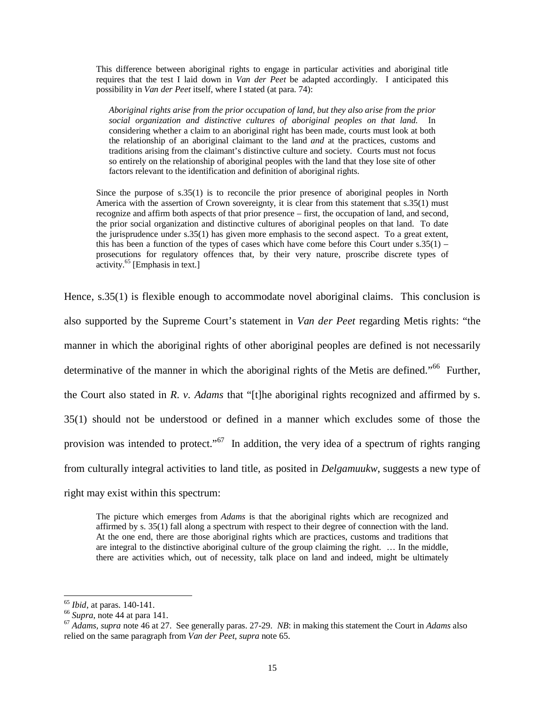This difference between aboriginal rights to engage in particular activities and aboriginal title requires that the test I laid down in *Van der Peet* be adapted accordingly. I anticipated this possibility in *Van der Peet* itself, where I stated (at para. 74):

*Aboriginal rights arise from the prior occupation of land, but they also arise from the prior social organization and distinctive cultures of aboriginal peoples on that land.* In considering whether a claim to an aboriginal right has been made, courts must look at both the relationship of an aboriginal claimant to the land *and* at the practices, customs and traditions arising from the claimant's distinctive culture and society. Courts must not focus so entirely on the relationship of aboriginal peoples with the land that they lose site of other factors relevant to the identification and definition of aboriginal rights.

Since the purpose of s.35(1) is to reconcile the prior presence of aboriginal peoples in North America with the assertion of Crown sovereignty, it is clear from this statement that s.35(1) must recognize and affirm both aspects of that prior presence – first, the occupation of land, and second, the prior social organization and distinctive cultures of aboriginal peoples on that land. To date the jurisprudence under s.35(1) has given more emphasis to the second aspect. To a great extent, this has been a function of the types of cases which have come before this Court under  $s.35(1)$  – prosecutions for regulatory offences that, by their very nature, proscribe discrete types of  $\arct{activity.}^{65}$  [Emphasis in text.]

Hence, s.35(1) is flexible enough to accommodate novel aboriginal claims. This conclusion is also supported by the Supreme Court's statement in *Van der Peet* regarding Metis rights: "the manner in which the aboriginal rights of other aboriginal peoples are defined is not necessarily determinative of the manner in which the aboriginal rights of the Metis are defined."<sup>66</sup> Further, the Court also stated in *R. v. Adams* that "[t]he aboriginal rights recognized and affirmed by s. 35(1) should not be understood or defined in a manner which excludes some of those the provision was intended to protect."<sup>67</sup> In addition, the very idea of a spectrum of rights ranging from culturally integral activities to land title, as posited in *Delgamuukw*, suggests a new type of right may exist within this spectrum:

The picture which emerges from *Adams* is that the aboriginal rights which are recognized and affirmed by s. 35(1) fall along a spectrum with respect to their degree of connection with the land. At the one end, there are those aboriginal rights which are practices, customs and traditions that are integral to the distinctive aboriginal culture of the group claiming the right. … In the middle, there are activities which, out of necessity, talk place on land and indeed, might be ultimately

<sup>65</sup> *Ibid*, at paras. 140-141.

<sup>66</sup> *Supra*, note 44 at para 141.

<sup>67</sup> *Adams, supra* note 46 at 27. See generally paras. 27-29. *NB*: in making this statement the Court in *Adams* also relied on the same paragraph from *Van der Peet, supra* note 65.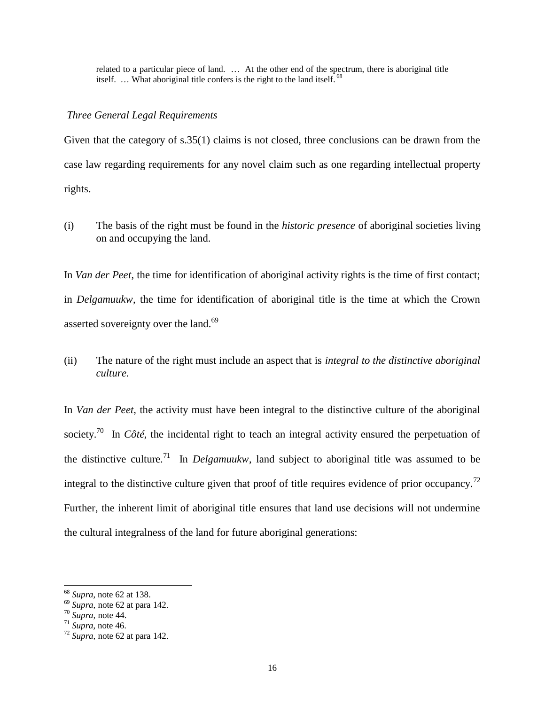related to a particular piece of land. … At the other end of the spectrum, there is aboriginal title itself.  $\ldots$  What aboriginal title confers is the right to the land itself.<sup>68</sup>

#### *Three General Legal Requirements*

Given that the category of s.35(1) claims is not closed, three conclusions can be drawn from the case law regarding requirements for any novel claim such as one regarding intellectual property rights.

(i) The basis of the right must be found in the *historic presence* of aboriginal societies living on and occupying the land.

In *Van der Peet*, the time for identification of aboriginal activity rights is the time of first contact; in *Delgamuukw*, the time for identification of aboriginal title is the time at which the Crown asserted sovereignty over the land.<sup>69</sup>

(ii) The nature of the right must include an aspect that is *integral to the distinctive aboriginal culture*.

In *Van der Peet,* the activity must have been integral to the distinctive culture of the aboriginal society.<sup>70</sup> In *Côté*, the incidental right to teach an integral activity ensured the perpetuation of the distinctive culture.<sup>71</sup> In *Delgamuukw*, land subject to aboriginal title was assumed to be integral to the distinctive culture given that proof of title requires evidence of prior occupancy.<sup>72</sup> Further, the inherent limit of aboriginal title ensures that land use decisions will not undermine the cultural integralness of the land for future aboriginal generations:

<sup>68</sup> *Supra*, note 62 at 138.

<sup>69</sup> *Supra,* note 62 at para 142.

<sup>70</sup> *Supra,* note 44.

 $\frac{71}{10}$  *Supra*, note 46.

<sup>72</sup> *Supra,* note 62 at para 142.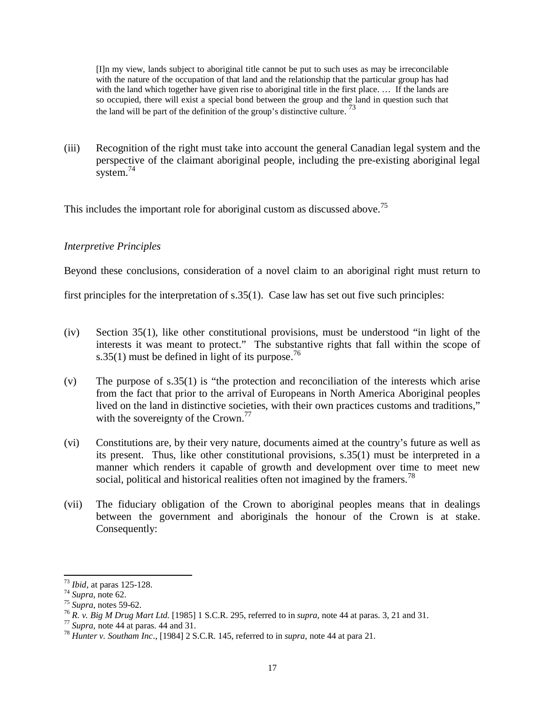[I]n my view, lands subject to aboriginal title cannot be put to such uses as may be irreconcilable with the nature of the occupation of that land and the relationship that the particular group has had with the land which together have given rise to aboriginal title in the first place.... If the lands are so occupied, there will exist a special bond between the group and the land in question such that the land will be part of the definition of the group's distinctive culture.<sup>73</sup>

(iii) Recognition of the right must take into account the general Canadian legal system and the perspective of the claimant aboriginal people, including the pre-existing aboriginal legal system.<sup>74</sup>

This includes the important role for aboriginal custom as discussed above.<sup>75</sup>

## *Interpretive Principles*

Beyond these conclusions, consideration of a novel claim to an aboriginal right must return to

first principles for the interpretation of s.35(1). Case law has set out five such principles:

- (iv) Section 35(1), like other constitutional provisions, must be understood "in light of the interests it was meant to protect." The substantive rights that fall within the scope of s.35(1) must be defined in light of its purpose.<sup>76</sup>
- (v) The purpose of s.35(1) is "the protection and reconciliation of the interests which arise from the fact that prior to the arrival of Europeans in North America Aboriginal peoples lived on the land in distinctive societies, with their own practices customs and traditions," with the sovereignty of the Crown.<sup>77</sup>
- (vi) Constitutions are, by their very nature, documents aimed at the country's future as well as its present. Thus, like other constitutional provisions, s.35(1) must be interpreted in a manner which renders it capable of growth and development over time to meet new social, political and historical realities often not imagined by the framers.<sup>78</sup>
- (vii) The fiduciary obligation of the Crown to aboriginal peoples means that in dealings between the government and aboriginals the honour of the Crown is at stake. Consequently:

<sup>73</sup> *Ibid*, at paras 125-128.

<sup>74</sup> *Supra*, note 62.

<sup>75</sup> *Supra*, notes 59-62.

<sup>76</sup> *R. v. Big M Drug Mart Ltd.* [1985] 1 S.C.R. 295, referred to in *supra,* note 44 at paras. 3, 21 and 31.

<sup>77</sup> *Supra,* note 44 at paras. 44 and 31.

<sup>78</sup> *Hunter v. Southam Inc*., [1984] 2 S.C.R. 145, referred to in *supra,* note 44 at para 21.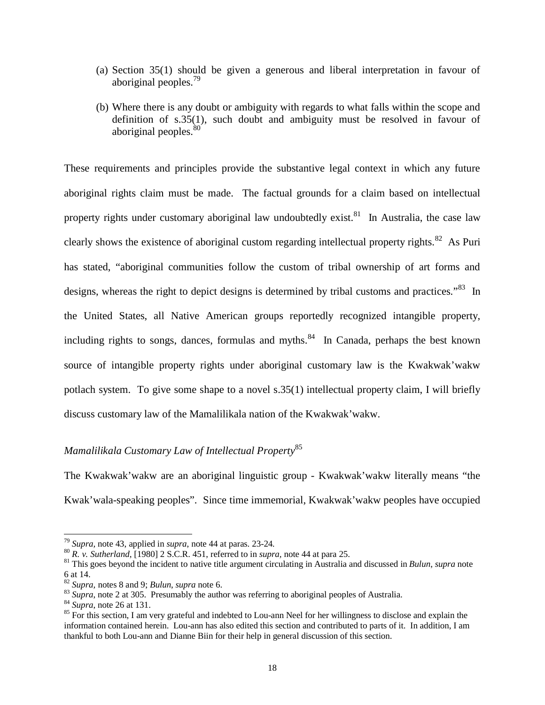- (a) Section 35(1) should be given a generous and liberal interpretation in favour of aboriginal peoples.<sup>79</sup>
- (b) Where there is any doubt or ambiguity with regards to what falls within the scope and definition of s.35(1), such doubt and ambiguity must be resolved in favour of aboriginal peoples. $80<sup>80</sup>$

These requirements and principles provide the substantive legal context in which any future aboriginal rights claim must be made. The factual grounds for a claim based on intellectual property rights under customary aboriginal law undoubtedly exist. $81$  In Australia, the case law clearly shows the existence of aboriginal custom regarding intellectual property rights.<sup>82</sup> As Puri has stated, "aboriginal communities follow the custom of tribal ownership of art forms and designs, whereas the right to depict designs is determined by tribal customs and practices."<sup>83</sup> In the United States, all Native American groups reportedly recognized intangible property, including rights to songs, dances, formulas and myths. $84$  In Canada, perhaps the best known source of intangible property rights under aboriginal customary law is the Kwakwak'wakw potlach system. To give some shape to a novel s.35(1) intellectual property claim, I will briefly discuss customary law of the Mamalilikala nation of the Kwakwak'wakw.

## *Mamalilikala Customary Law of Intellectual Property*<sup>85</sup>

The Kwakwak'wakw are an aboriginal linguistic group - Kwakwak'wakw literally means "the Kwak'wala-speaking peoples". Since time immemorial, Kwakwak'wakw peoples have occupied

<sup>79</sup> *Supra,* note 43, applied in *supra*, note 44 at paras. 23-24*.*

<sup>80</sup> *R. v. Sutherland*, [1980] 2 S.C.R. 451, referred to in *supra,* note 44 at para 25.

<sup>81</sup> This goes beyond the incident to native title argument circulating in Australia and discussed in *Bulun*, *supra* note 6 at 14.

<sup>82</sup> *Supra,* notes 8 and 9; *Bulun*, *supra* note 6.

<sup>&</sup>lt;sup>83</sup> *Supra*, note 2 at 305. Presumably the author was referring to aboriginal peoples of Australia.

<sup>84</sup> *Supra*, note 26 at 131.

<sup>&</sup>lt;sup>85</sup> For this section, I am very grateful and indebted to Lou-ann Neel for her willingness to disclose and explain the information contained herein. Lou-ann has also edited this section and contributed to parts of it. In addition, I am thankful to both Lou-ann and Dianne Biin for their help in general discussion of this section.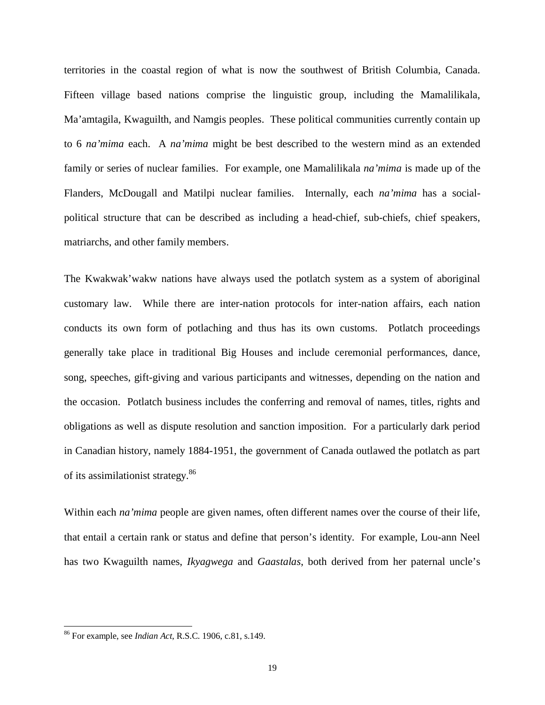territories in the coastal region of what is now the southwest of British Columbia, Canada. Fifteen village based nations comprise the linguistic group, including the Mamalilikala, Ma'amtagila, Kwaguilth, and Namgis peoples. These political communities currently contain up to 6 *na'mima* each. A *na'mima* might be best described to the western mind as an extended family or series of nuclear families. For example, one Mamalilikala *na'mima* is made up of the Flanders, McDougall and Matilpi nuclear families. Internally, each *na'mima* has a socialpolitical structure that can be described as including a head-chief, sub-chiefs, chief speakers, matriarchs, and other family members.

The Kwakwak'wakw nations have always used the potlatch system as a system of aboriginal customary law. While there are inter-nation protocols for inter-nation affairs, each nation conducts its own form of potlaching and thus has its own customs. Potlatch proceedings generally take place in traditional Big Houses and include ceremonial performances, dance, song, speeches, gift-giving and various participants and witnesses, depending on the nation and the occasion. Potlatch business includes the conferring and removal of names, titles, rights and obligations as well as dispute resolution and sanction imposition. For a particularly dark period in Canadian history, namely 1884-1951, the government of Canada outlawed the potlatch as part of its assimilationist strategy.<sup>86</sup>

Within each *na'mima* people are given names, often different names over the course of their life, that entail a certain rank or status and define that person's identity. For example, Lou-ann Neel has two Kwaguilth names, *Ikyagwega* and *Gaastalas*, both derived from her paternal uncle's

<sup>86</sup> For example, see *Indian Act*, R.S.C. 1906, c.81, s.149.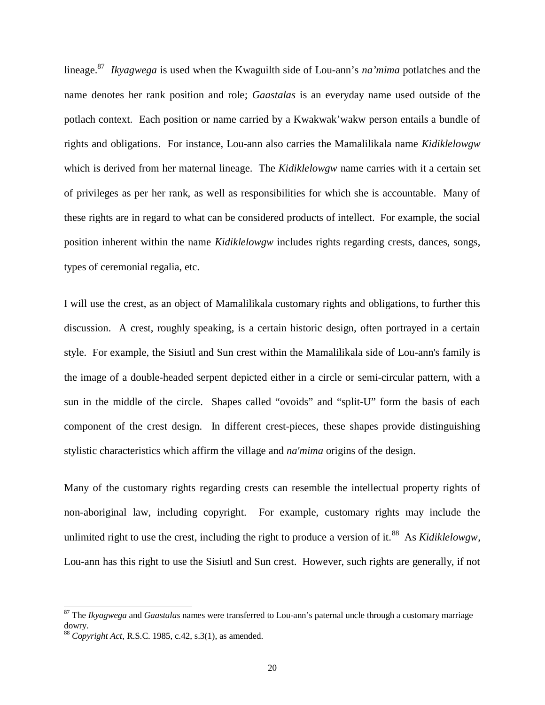lineage.<sup>87</sup> *Ikyagwega* is used when the Kwaguilth side of Lou-ann's *na'mima* potlatches and the name denotes her rank position and role; *Gaastalas* is an everyday name used outside of the potlach context. Each position or name carried by a Kwakwak'wakw person entails a bundle of rights and obligations. For instance, Lou-ann also carries the Mamalilikala name *Kidiklelowgw* which is derived from her maternal lineage. The *Kidiklelowgw* name carries with it a certain set of privileges as per her rank, as well as responsibilities for which she is accountable. Many of these rights are in regard to what can be considered products of intellect. For example, the social position inherent within the name *Kidiklelowgw* includes rights regarding crests, dances, songs, types of ceremonial regalia, etc.

I will use the crest, as an object of Mamalilikala customary rights and obligations, to further this discussion. A crest, roughly speaking, is a certain historic design, often portrayed in a certain style. For example, the Sisiutl and Sun crest within the Mamalilikala side of Lou-ann's family is the image of a double-headed serpent depicted either in a circle or semi-circular pattern, with a sun in the middle of the circle. Shapes called "ovoids" and "split-U" form the basis of each component of the crest design. In different crest-pieces, these shapes provide distinguishing stylistic characteristics which affirm the village and *na'mima* origins of the design.

Many of the customary rights regarding crests can resemble the intellectual property rights of non-aboriginal law, including copyright. For example, customary rights may include the unlimited right to use the crest, including the right to produce a version of it.<sup>88</sup> As *Kidiklelowgw*, Lou-ann has this right to use the Sisiutl and Sun crest. However, such rights are generally, if not

<sup>87</sup> The *Ikyagwega* and *Gaastalas* names were transferred to Lou-ann's paternal uncle through a customary marriage dowry.

<sup>88</sup> *Copyright Act*, R.S.C. 1985, c.42, s.3(1), as amended.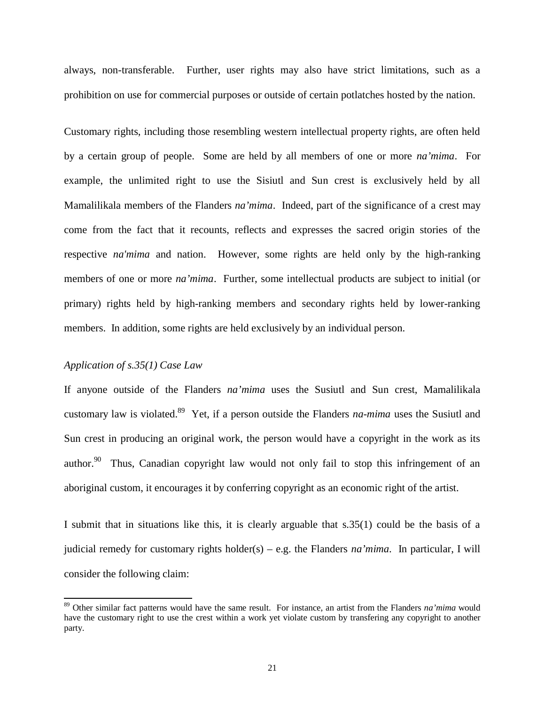always, non-transferable. Further, user rights may also have strict limitations, such as a prohibition on use for commercial purposes or outside of certain potlatches hosted by the nation.

Customary rights, including those resembling western intellectual property rights, are often held by a certain group of people. Some are held by all members of one or more *na'mima*. For example, the unlimited right to use the Sisiutl and Sun crest is exclusively held by all Mamalilikala members of the Flanders *na'mima*. Indeed, part of the significance of a crest may come from the fact that it recounts, reflects and expresses the sacred origin stories of the respective *na'mima* and nation. However, some rights are held only by the high-ranking members of one or more *na'mima*. Further, some intellectual products are subject to initial (or primary) rights held by high-ranking members and secondary rights held by lower-ranking members. In addition, some rights are held exclusively by an individual person.

## *Application of s.35(1) Case Law*

If anyone outside of the Flanders *na'mima* uses the Susiutl and Sun crest, Mamalilikala customary law is violated.<sup>89</sup> Yet, if a person outside the Flanders *na-mima* uses the Susiutl and Sun crest in producing an original work, the person would have a copyright in the work as its author.<sup>90</sup> Thus, Canadian copyright law would not only fail to stop this infringement of an aboriginal custom, it encourages it by conferring copyright as an economic right of the artist.

I submit that in situations like this, it is clearly arguable that s.35(1) could be the basis of a judicial remedy for customary rights holder(s) – e.g. the Flanders *na'mima*. In particular, I will consider the following claim:

<sup>89</sup> Other similar fact patterns would have the same result. For instance, an artist from the Flanders *na'mima* would have the customary right to use the crest within a work yet violate custom by transfering any copyright to another party.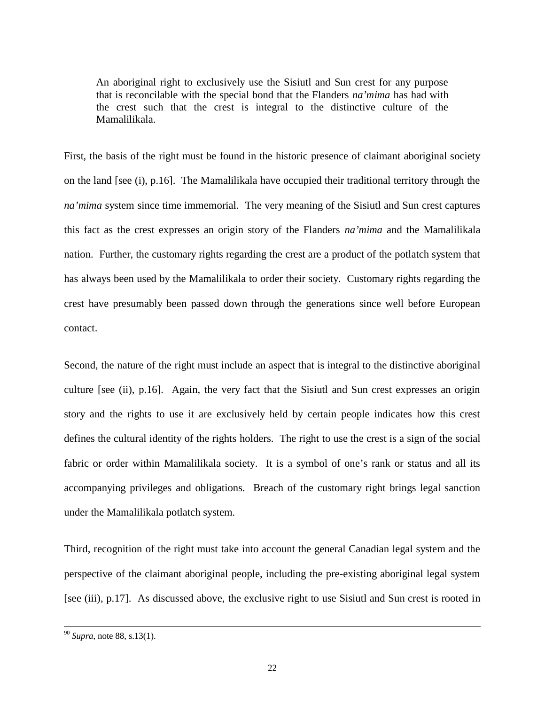An aboriginal right to exclusively use the Sisiutl and Sun crest for any purpose that is reconcilable with the special bond that the Flanders *na'mima* has had with the crest such that the crest is integral to the distinctive culture of the Mamalilikala.

First, the basis of the right must be found in the historic presence of claimant aboriginal society on the land [see (i), p.16]. The Mamalilikala have occupied their traditional territory through the *na'mima* system since time immemorial. The very meaning of the Sisiutl and Sun crest captures this fact as the crest expresses an origin story of the Flanders *na'mima* and the Mamalilikala nation. Further, the customary rights regarding the crest are a product of the potlatch system that has always been used by the Mamalilikala to order their society. Customary rights regarding the crest have presumably been passed down through the generations since well before European contact.

Second, the nature of the right must include an aspect that is integral to the distinctive aboriginal culture [see (ii), p.16]. Again, the very fact that the Sisiutl and Sun crest expresses an origin story and the rights to use it are exclusively held by certain people indicates how this crest defines the cultural identity of the rights holders. The right to use the crest is a sign of the social fabric or order within Mamalilikala society. It is a symbol of one's rank or status and all its accompanying privileges and obligations. Breach of the customary right brings legal sanction under the Mamalilikala potlatch system.

Third, recognition of the right must take into account the general Canadian legal system and the perspective of the claimant aboriginal people, including the pre-existing aboriginal legal system [see (iii), p.17]. As discussed above, the exclusive right to use Sisiutl and Sun crest is rooted in

<sup>90</sup> *Supra*, note 88, s.13(1).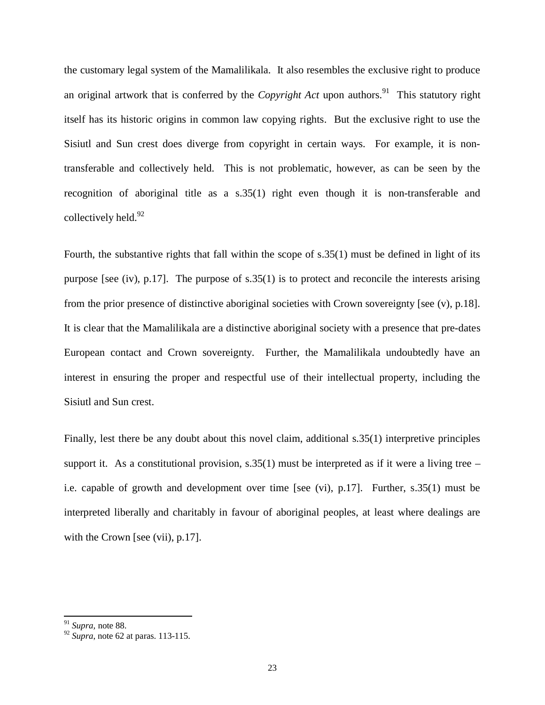the customary legal system of the Mamalilikala. It also resembles the exclusive right to produce an original artwork that is conferred by the *Copyright Act* upon authors.<sup>91</sup> This statutory right itself has its historic origins in common law copying rights. But the exclusive right to use the Sisiutl and Sun crest does diverge from copyright in certain ways. For example, it is nontransferable and collectively held. This is not problematic, however, as can be seen by the recognition of aboriginal title as a s.35(1) right even though it is non-transferable and collectively held.<sup>92</sup>

Fourth, the substantive rights that fall within the scope of s.35(1) must be defined in light of its purpose [see (iv), p.17]. The purpose of s.35(1) is to protect and reconcile the interests arising from the prior presence of distinctive aboriginal societies with Crown sovereignty [see (v), p.18]. It is clear that the Mamalilikala are a distinctive aboriginal society with a presence that pre-dates European contact and Crown sovereignty. Further, the Mamalilikala undoubtedly have an interest in ensuring the proper and respectful use of their intellectual property, including the Sisiutl and Sun crest.

Finally, lest there be any doubt about this novel claim, additional s.35(1) interpretive principles support it. As a constitutional provision,  $s.35(1)$  must be interpreted as if it were a living tree – i.e. capable of growth and development over time [see (vi), p.17]. Further, s.35(1) must be interpreted liberally and charitably in favour of aboriginal peoples, at least where dealings are with the Crown [see (vii), p.17].

<sup>91</sup> *Supra,* note 88.

<sup>92</sup> *Supra*, note 62 at paras. 113-115.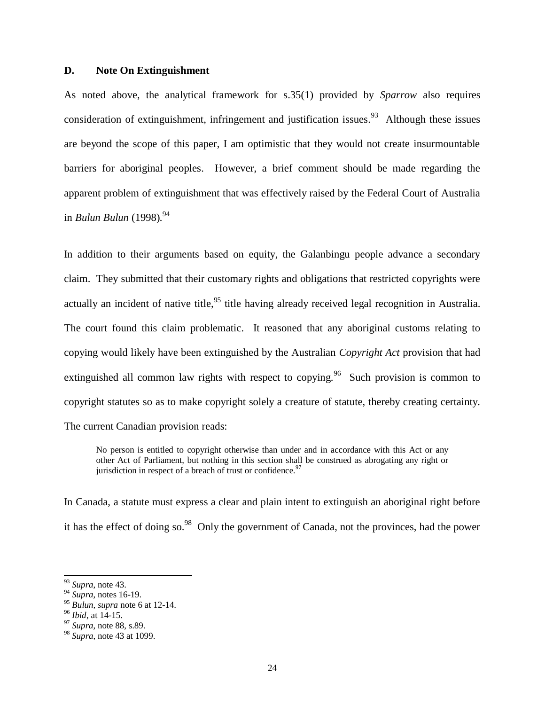#### **D. Note On Extinguishment**

As noted above, the analytical framework for s.35(1) provided by *Sparrow* also requires consideration of extinguishment, infringement and justification issues.<sup>93</sup> Although these issues are beyond the scope of this paper, I am optimistic that they would not create insurmountable barriers for aboriginal peoples. However, a brief comment should be made regarding the apparent problem of extinguishment that was effectively raised by the Federal Court of Australia in *Bulun Bulun* (1998)*.* 94

In addition to their arguments based on equity, the Galanbingu people advance a secondary claim. They submitted that their customary rights and obligations that restricted copyrights were actually an incident of native title,<sup>95</sup> title having already received legal recognition in Australia. The court found this claim problematic. It reasoned that any aboriginal customs relating to copying would likely have been extinguished by the Australian *Copyright Act* provision that had extinguished all common law rights with respect to copying.<sup>96</sup> Such provision is common to copyright statutes so as to make copyright solely a creature of statute, thereby creating certainty. The current Canadian provision reads:

No person is entitled to copyright otherwise than under and in accordance with this Act or any other Act of Parliament, but nothing in this section shall be construed as abrogating any right or jurisdiction in respect of a breach of trust or confidence. $97$ 

In Canada, a statute must express a clear and plain intent to extinguish an aboriginal right before it has the effect of doing so.<sup>98</sup> Only the government of Canada, not the provinces, had the power

<sup>93</sup> *Supra*, note 43.

<sup>94</sup> *Supra*, notes 16-19.

<sup>95</sup> *Bulun, supra* note 6 at 12-14.

<sup>96</sup> *Ibid*, at 14-15.

<sup>97</sup> *Supra*, note 88, s.89.

<sup>98</sup> *Supra*, note 43 at 1099.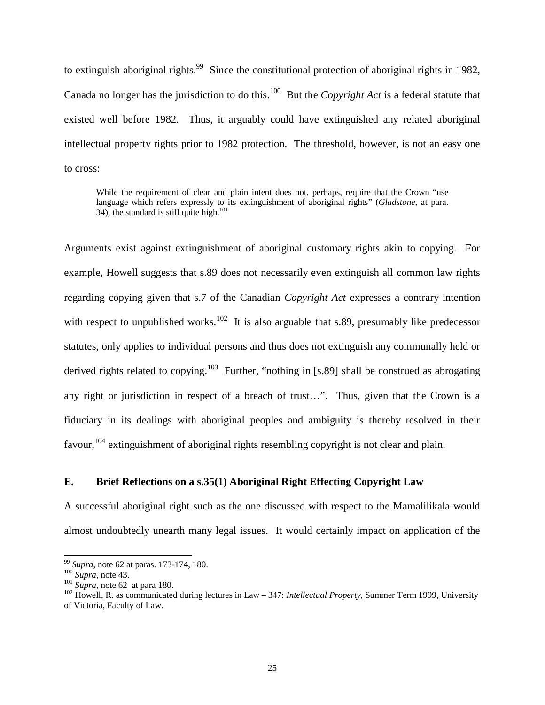to extinguish aboriginal rights.<sup>99</sup> Since the constitutional protection of aboriginal rights in 1982, Canada no longer has the jurisdiction to do this.<sup>100</sup> But the *Copyright Act* is a federal statute that existed well before 1982. Thus, it arguably could have extinguished any related aboriginal intellectual property rights prior to 1982 protection. The threshold, however, is not an easy one to cross:

While the requirement of clear and plain intent does not, perhaps, require that the Crown "use language which refers expressly to its extinguishment of aboriginal rights" (*Gladstone*, at para. 34), the standard is still quite high. $101$ 

Arguments exist against extinguishment of aboriginal customary rights akin to copying. For example, Howell suggests that s.89 does not necessarily even extinguish all common law rights regarding copying given that s.7 of the Canadian *Copyright Act* expresses a contrary intention with respect to unpublished works.<sup>102</sup> It is also arguable that s.89, presumably like predecessor statutes, only applies to individual persons and thus does not extinguish any communally held or derived rights related to copying.<sup>103</sup> Further, "nothing in [s.89] shall be construed as abrogating any right or jurisdiction in respect of a breach of trust…". Thus, given that the Crown is a fiduciary in its dealings with aboriginal peoples and ambiguity is thereby resolved in their favour,<sup>104</sup> extinguishment of aboriginal rights resembling copyright is not clear and plain.

### **E. Brief Reflections on a s.35(1) Aboriginal Right Effecting Copyright Law**

A successful aboriginal right such as the one discussed with respect to the Mamalilikala would almost undoubtedly unearth many legal issues. It would certainly impact on application of the

<sup>99</sup> *Supra*, note 62 at paras. 173-174, 180.

<sup>100</sup> *Supra,* note 43.

<sup>101</sup> *Supra,* note 62 at para 180.

<sup>102</sup> Howell, R. as communicated during lectures in Law – 347: *Intellectual Property*, Summer Term 1999, University of Victoria, Faculty of Law.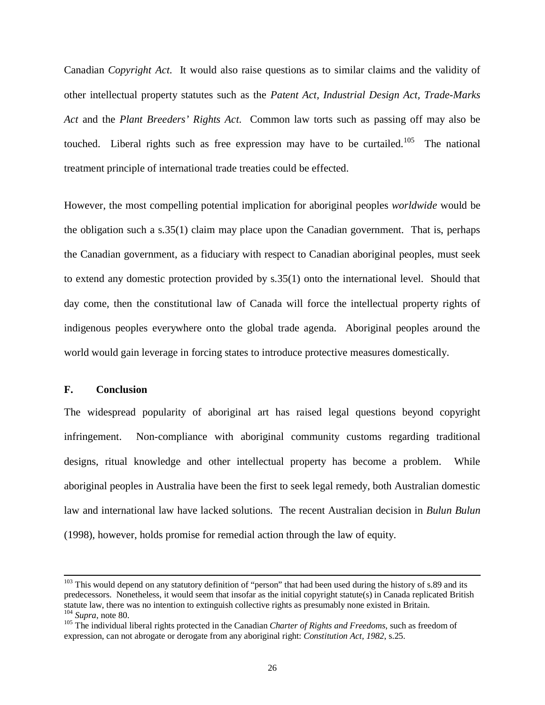Canadian *Copyright Act*. It would also raise questions as to similar claims and the validity of other intellectual property statutes such as the *Patent Act, Industrial Design Act, Trade-Marks Act* and the *Plant Breeders' Rights Act*. Common law torts such as passing off may also be touched. Liberal rights such as free expression may have to be curtailed.<sup>105</sup> The national treatment principle of international trade treaties could be effected.

However, the most compelling potential implication for aboriginal peoples *worldwide* would be the obligation such a s.35(1) claim may place upon the Canadian government. That is, perhaps the Canadian government, as a fiduciary with respect to Canadian aboriginal peoples, must seek to extend any domestic protection provided by s.35(1) onto the international level. Should that day come, then the constitutional law of Canada will force the intellectual property rights of indigenous peoples everywhere onto the global trade agenda. Aboriginal peoples around the world would gain leverage in forcing states to introduce protective measures domestically.

## **F. Conclusion**

The widespread popularity of aboriginal art has raised legal questions beyond copyright infringement. Non-compliance with aboriginal community customs regarding traditional designs, ritual knowledge and other intellectual property has become a problem. While aboriginal peoples in Australia have been the first to seek legal remedy, both Australian domestic law and international law have lacked solutions. The recent Australian decision in *Bulun Bulun* (1998), however, holds promise for remedial action through the law of equity.

<sup>&</sup>lt;sup>103</sup> This would depend on any statutory definition of "person" that had been used during the history of s.89 and its predecessors. Nonetheless, it would seem that insofar as the initial copyright statute(s) in Canada replicated British statute law, there was no intention to extinguish collective rights as presumably none existed in Britain. <sup>104</sup> *Supra*, note 80.

<sup>&</sup>lt;sup>105</sup> The individual liberal rights protected in the Canadian *Charter of Rights and Freedoms*, such as freedom of expression, can not abrogate or derogate from any aboriginal right: *Constitution Act, 1982*, s.25.